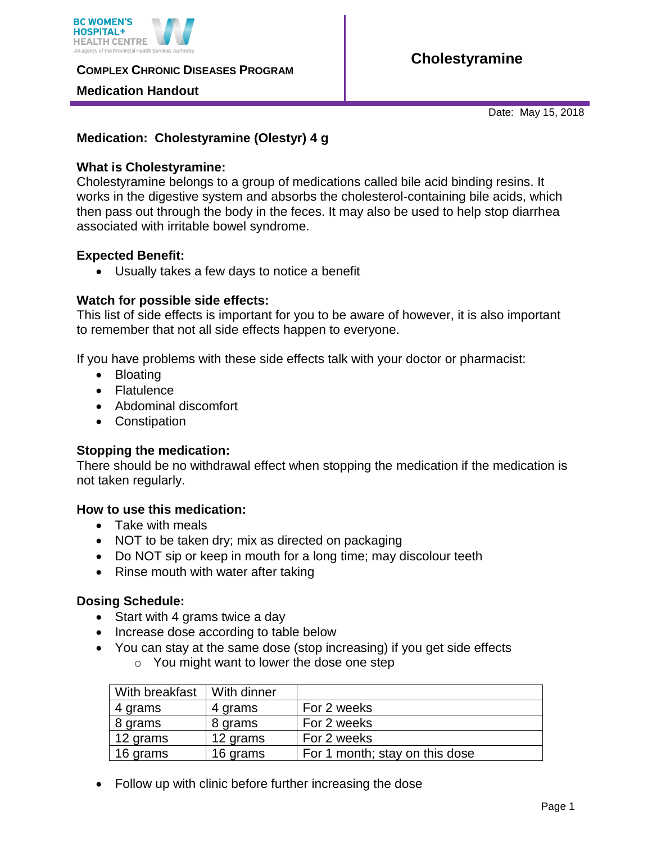

**COMPLEX CHRONIC DISEASES PROGRAM** 

## **Medication Handout**

# **Cholestyramine**

Date: May 15, 2018

# **Medication: Cholestyramine (Olestyr) 4 g**

## **What is Cholestyramine:**

Cholestyramine belongs to a group of medications called bile acid binding resins. It works in the digestive system and absorbs the cholesterol-containing bile acids, which then pass out through the body in the feces. It may also be used to help stop diarrhea associated with irritable bowel syndrome.

#### **Expected Benefit:**

Usually takes a few days to notice a benefit

## **Watch for possible side effects:**

This list of side effects is important for you to be aware of however, it is also important to remember that not all side effects happen to everyone.

If you have problems with these side effects talk with your doctor or pharmacist:

- Bloating
- Flatulence
- Abdominal discomfort
- Constipation

# **Stopping the medication:**

There should be no withdrawal effect when stopping the medication if the medication is not taken regularly.

#### **How to use this medication:**

- Take with meals
- NOT to be taken dry; mix as directed on packaging
- Do NOT sip or keep in mouth for a long time; may discolour teeth
- Rinse mouth with water after taking

#### **Dosing Schedule:**

- Start with 4 grams twice a day
- Increase dose according to table below
- You can stay at the same dose (stop increasing) if you get side effects o You might want to lower the dose one step

| With breakfast | With dinner |                                |
|----------------|-------------|--------------------------------|
| 4 grams        | 4 grams     | For 2 weeks                    |
| 8 grams        | 8 grams     | For 2 weeks                    |
| 12 grams       | 12 grams    | For 2 weeks                    |
| 16 grams       | 16 grams    | For 1 month; stay on this dose |

• Follow up with clinic before further increasing the dose